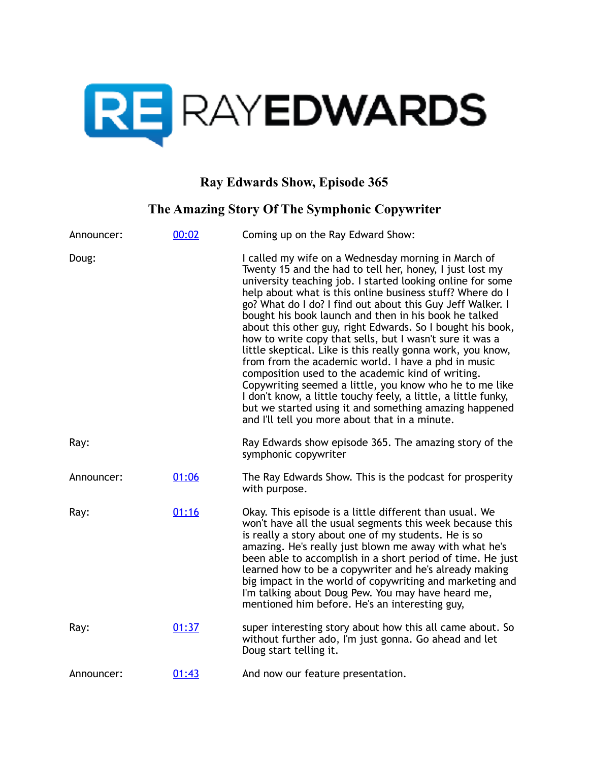

## **Ray Edwards Show, Episode 365**

## **The Amazing Story Of The Symphonic Copywriter**

| Announcer: | 00:02 | Coming up on the Ray Edward Show:                                                                                                                                                                                                                                                                                                                                                                                                                                                                                                                                                                                                                                                                                                                                                                                                                                                                               |
|------------|-------|-----------------------------------------------------------------------------------------------------------------------------------------------------------------------------------------------------------------------------------------------------------------------------------------------------------------------------------------------------------------------------------------------------------------------------------------------------------------------------------------------------------------------------------------------------------------------------------------------------------------------------------------------------------------------------------------------------------------------------------------------------------------------------------------------------------------------------------------------------------------------------------------------------------------|
| Doug:      |       | I called my wife on a Wednesday morning in March of<br>Twenty 15 and the had to tell her, honey, I just lost my<br>university teaching job. I started looking online for some<br>help about what is this online business stuff? Where do I<br>go? What do I do? I find out about this Guy Jeff Walker. I<br>bought his book launch and then in his book he talked<br>about this other guy, right Edwards. So I bought his book,<br>how to write copy that sells, but I wasn't sure it was a<br>little skeptical. Like is this really gonna work, you know,<br>from from the academic world. I have a phd in music<br>composition used to the academic kind of writing.<br>Copywriting seemed a little, you know who he to me like<br>I don't know, a little touchy feely, a little, a little funky,<br>but we started using it and something amazing happened<br>and I'll tell you more about that in a minute. |
| Ray:       |       | Ray Edwards show episode 365. The amazing story of the<br>symphonic copywriter                                                                                                                                                                                                                                                                                                                                                                                                                                                                                                                                                                                                                                                                                                                                                                                                                                  |
| Announcer: | 01:06 | The Ray Edwards Show. This is the podcast for prosperity<br>with purpose.                                                                                                                                                                                                                                                                                                                                                                                                                                                                                                                                                                                                                                                                                                                                                                                                                                       |
| Ray:       | 01:16 | Okay. This episode is a little different than usual. We<br>won't have all the usual segments this week because this<br>is really a story about one of my students. He is so<br>amazing. He's really just blown me away with what he's<br>been able to accomplish in a short period of time. He just<br>learned how to be a copywriter and he's already making<br>big impact in the world of copywriting and marketing and<br>I'm talking about Doug Pew. You may have heard me,<br>mentioned him before. He's an interesting guy,                                                                                                                                                                                                                                                                                                                                                                               |
| Ray:       | 01:37 | super interesting story about how this all came about. So<br>without further ado, I'm just gonna. Go ahead and let<br>Doug start telling it.                                                                                                                                                                                                                                                                                                                                                                                                                                                                                                                                                                                                                                                                                                                                                                    |
| Announcer: | 01:43 | And now our feature presentation.                                                                                                                                                                                                                                                                                                                                                                                                                                                                                                                                                                                                                                                                                                                                                                                                                                                                               |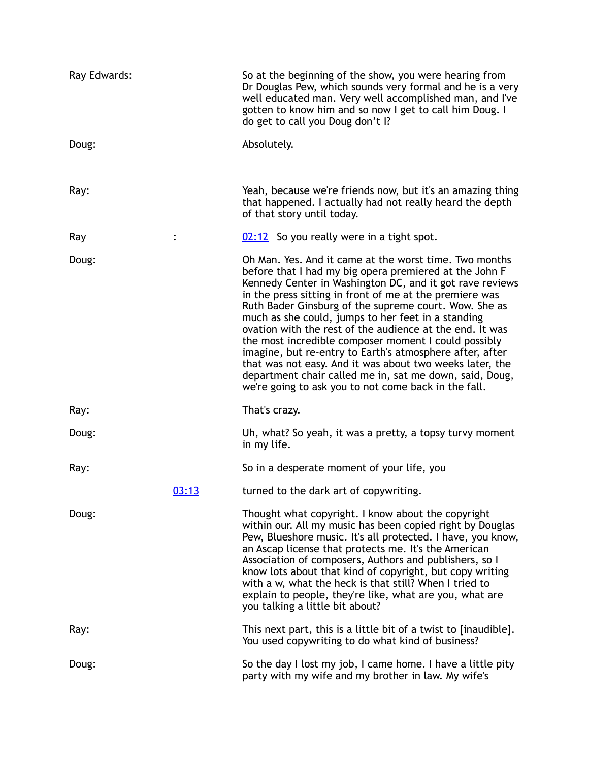| Ray Edwards: |       | So at the beginning of the show, you were hearing from<br>Dr Douglas Pew, which sounds very formal and he is a very<br>well educated man. Very well accomplished man, and I've<br>gotten to know him and so now I get to call him Doug. I<br>do get to call you Doug don't I?                                                                                                                                                                                                                                                                                                                                                                                                                                         |
|--------------|-------|-----------------------------------------------------------------------------------------------------------------------------------------------------------------------------------------------------------------------------------------------------------------------------------------------------------------------------------------------------------------------------------------------------------------------------------------------------------------------------------------------------------------------------------------------------------------------------------------------------------------------------------------------------------------------------------------------------------------------|
| Doug:        |       | Absolutely.                                                                                                                                                                                                                                                                                                                                                                                                                                                                                                                                                                                                                                                                                                           |
| Ray:         |       | Yeah, because we're friends now, but it's an amazing thing<br>that happened. I actually had not really heard the depth<br>of that story until today.                                                                                                                                                                                                                                                                                                                                                                                                                                                                                                                                                                  |
| Ray          |       | 02:12 So you really were in a tight spot.                                                                                                                                                                                                                                                                                                                                                                                                                                                                                                                                                                                                                                                                             |
| Doug:        |       | Oh Man. Yes. And it came at the worst time. Two months<br>before that I had my big opera premiered at the John F<br>Kennedy Center in Washington DC, and it got rave reviews<br>in the press sitting in front of me at the premiere was<br>Ruth Bader Ginsburg of the supreme court. Wow. She as<br>much as she could, jumps to her feet in a standing<br>ovation with the rest of the audience at the end. It was<br>the most incredible composer moment I could possibly<br>imagine, but re-entry to Earth's atmosphere after, after<br>that was not easy. And it was about two weeks later, the<br>department chair called me in, sat me down, said, Doug,<br>we're going to ask you to not come back in the fall. |
| Ray:         |       | That's crazy.                                                                                                                                                                                                                                                                                                                                                                                                                                                                                                                                                                                                                                                                                                         |
| Doug:        |       | Uh, what? So yeah, it was a pretty, a topsy turvy moment<br>in my life.                                                                                                                                                                                                                                                                                                                                                                                                                                                                                                                                                                                                                                               |
| Ray:         |       | So in a desperate moment of your life, you                                                                                                                                                                                                                                                                                                                                                                                                                                                                                                                                                                                                                                                                            |
|              | 03:13 | turned to the dark art of copywriting.                                                                                                                                                                                                                                                                                                                                                                                                                                                                                                                                                                                                                                                                                |
| Doug:        |       | Thought what copyright. I know about the copyright<br>within our. All my music has been copied right by Douglas<br>Pew, Blueshore music. It's all protected. I have, you know,<br>an Ascap license that protects me. It's the American<br>Association of composers, Authors and publishers, so I<br>know lots about that kind of copyright, but copy writing<br>with a w, what the heck is that still? When I tried to<br>explain to people, they're like, what are you, what are<br>you talking a little bit about?                                                                                                                                                                                                  |
| Ray:         |       | This next part, this is a little bit of a twist to [inaudible].<br>You used copywriting to do what kind of business?                                                                                                                                                                                                                                                                                                                                                                                                                                                                                                                                                                                                  |
| Doug:        |       | So the day I lost my job, I came home. I have a little pity<br>party with my wife and my brother in law. My wife's                                                                                                                                                                                                                                                                                                                                                                                                                                                                                                                                                                                                    |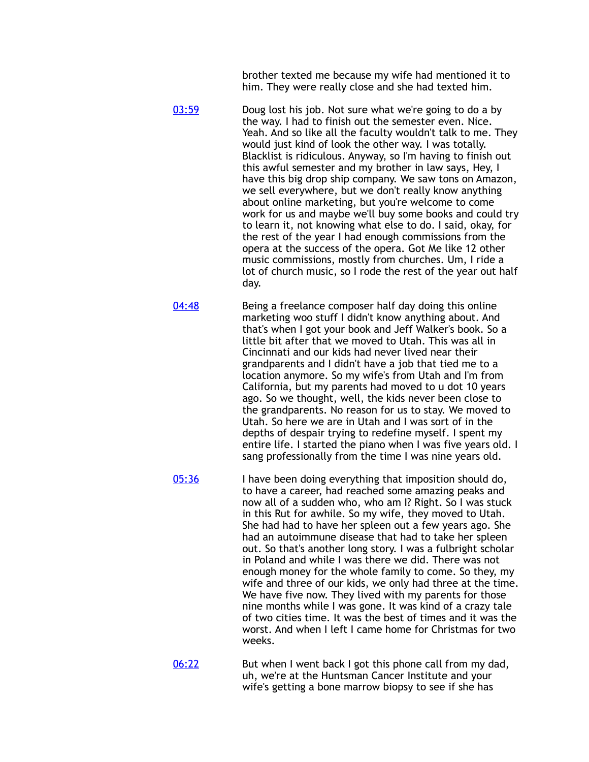brother texted me because my wife had mentioned it to him. They were really close and she had texted him.

- [03:59](https://www.temi.com/editor/t/cZXhU4tK036_90je4wNtV9IACj1yPr-9OzFDvCCoFI_iBHXnJ9GnJysYLql3UmvBU5tulFY0cqauSYjRFhHgyoUhAYI?loadFrom=DocumentDeeplink&ts=239.29) Doug lost his job. Not sure what we're going to do a by the way. I had to finish out the semester even. Nice. Yeah. And so like all the faculty wouldn't talk to me. They would just kind of look the other way. I was totally. Blacklist is ridiculous. Anyway, so I'm having to finish out this awful semester and my brother in law says, Hey, I have this big drop ship company. We saw tons on Amazon, we sell everywhere, but we don't really know anything about online marketing, but you're welcome to come work for us and maybe we'll buy some books and could try to learn it, not knowing what else to do. I said, okay, for the rest of the year I had enough commissions from the opera at the success of the opera. Got Me like 12 other music commissions, mostly from churches. Um, I ride a lot of church music, so I rode the rest of the year out half day.
- [04:48](https://www.temi.com/editor/t/cZXhU4tK036_90je4wNtV9IACj1yPr-9OzFDvCCoFI_iBHXnJ9GnJysYLql3UmvBU5tulFY0cqauSYjRFhHgyoUhAYI?loadFrom=DocumentDeeplink&ts=288.97) Being a freelance composer half day doing this online marketing woo stuff I didn't know anything about. And that's when I got your book and Jeff Walker's book. So a little bit after that we moved to Utah. This was all in Cincinnati and our kids had never lived near their grandparents and I didn't have a job that tied me to a location anymore. So my wife's from Utah and I'm from California, but my parents had moved to u dot 10 years ago. So we thought, well, the kids never been close to the grandparents. No reason for us to stay. We moved to Utah. So here we are in Utah and I was sort of in the depths of despair trying to redefine myself. I spent my entire life. I started the piano when I was five years old. I sang professionally from the time I was nine years old.
- [05:36](https://www.temi.com/editor/t/cZXhU4tK036_90je4wNtV9IACj1yPr-9OzFDvCCoFI_iBHXnJ9GnJysYLql3UmvBU5tulFY0cqauSYjRFhHgyoUhAYI?loadFrom=DocumentDeeplink&ts=336.7) I have been doing everything that imposition should do, to have a career, had reached some amazing peaks and now all of a sudden who, who am I? Right. So I was stuck in this Rut for awhile. So my wife, they moved to Utah. She had had to have her spleen out a few years ago. She had an autoimmune disease that had to take her spleen out. So that's another long story. I was a fulbright scholar in Poland and while I was there we did. There was not enough money for the whole family to come. So they, my wife and three of our kids, we only had three at the time. We have five now. They lived with my parents for those nine months while I was gone. It was kind of a crazy tale of two cities time. It was the best of times and it was the worst. And when I left I came home for Christmas for two weeks.
- [06:22](https://www.temi.com/editor/t/cZXhU4tK036_90je4wNtV9IACj1yPr-9OzFDvCCoFI_iBHXnJ9GnJysYLql3UmvBU5tulFY0cqauSYjRFhHgyoUhAYI?loadFrom=DocumentDeeplink&ts=382.46) But when I went back I got this phone call from my dad, uh, we're at the Huntsman Cancer Institute and your wife's getting a bone marrow biopsy to see if she has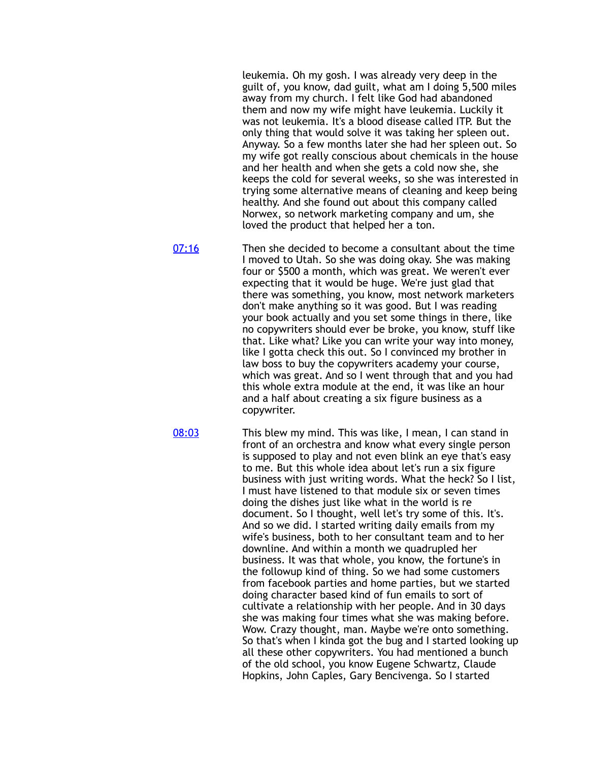leukemia. Oh my gosh. I was already very deep in the guilt of, you know, dad guilt, what am I doing 5,500 miles away from my church. I felt like God had abandoned them and now my wife might have leukemia. Luckily it was not leukemia. It's a blood disease called ITP. But the only thing that would solve it was taking her spleen out. Anyway. So a few months later she had her spleen out. So my wife got really conscious about chemicals in the house and her health and when she gets a cold now she, she keeps the cold for several weeks, so she was interested in trying some alternative means of cleaning and keep being healthy. And she found out about this company called Norwex, so network marketing company and um, she loved the product that helped her a ton.

[07:16](https://www.temi.com/editor/t/cZXhU4tK036_90je4wNtV9IACj1yPr-9OzFDvCCoFI_iBHXnJ9GnJysYLql3UmvBU5tulFY0cqauSYjRFhHgyoUhAYI?loadFrom=DocumentDeeplink&ts=436.53) Then she decided to become a consultant about the time I moved to Utah. So she was doing okay. She was making four or \$500 a month, which was great. We weren't ever expecting that it would be huge. We're just glad that there was something, you know, most network marketers don't make anything so it was good. But I was reading your book actually and you set some things in there, like no copywriters should ever be broke, you know, stuff like that. Like what? Like you can write your way into money, like I gotta check this out. So I convinced my brother in law boss to buy the copywriters academy your course, which was great. And so I went through that and you had this whole extra module at the end, it was like an hour and a half about creating a six figure business as a copywriter.

[08:03](https://www.temi.com/editor/t/cZXhU4tK036_90je4wNtV9IACj1yPr-9OzFDvCCoFI_iBHXnJ9GnJysYLql3UmvBU5tulFY0cqauSYjRFhHgyoUhAYI?loadFrom=DocumentDeeplink&ts=483.01) This blew my mind. This was like, I mean, I can stand in front of an orchestra and know what every single person is supposed to play and not even blink an eye that's easy to me. But this whole idea about let's run a six figure business with just writing words. What the heck? So I list, I must have listened to that module six or seven times doing the dishes just like what in the world is re document. So I thought, well let's try some of this. It's. And so we did. I started writing daily emails from my wife's business, both to her consultant team and to her downline. And within a month we quadrupled her business. It was that whole, you know, the fortune's in the followup kind of thing. So we had some customers from facebook parties and home parties, but we started doing character based kind of fun emails to sort of cultivate a relationship with her people. And in 30 days she was making four times what she was making before. Wow. Crazy thought, man. Maybe we're onto something. So that's when I kinda got the bug and I started looking up all these other copywriters. You had mentioned a bunch of the old school, you know Eugene Schwartz, Claude Hopkins, John Caples, Gary Bencivenga. So I started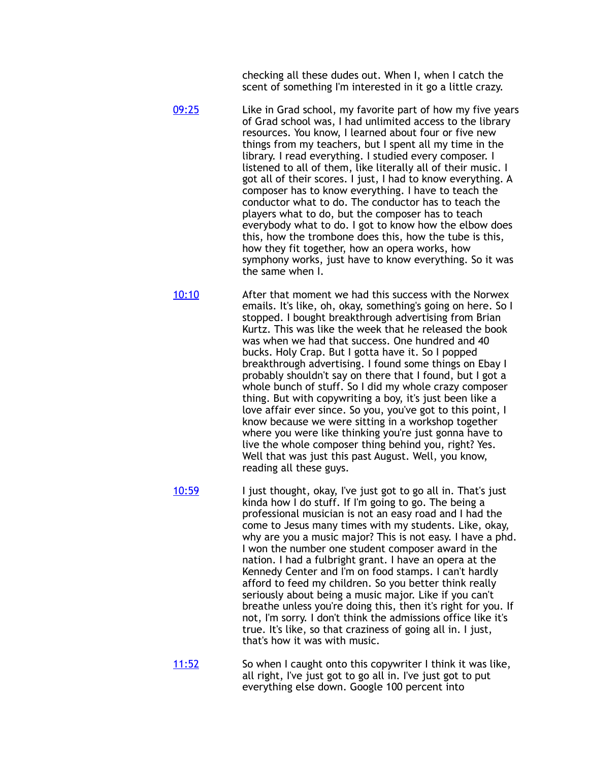checking all these dudes out. When I, when I catch the scent of something I'm interested in it go a little crazy.

[09:25](https://www.temi.com/editor/t/cZXhU4tK036_90je4wNtV9IACj1yPr-9OzFDvCCoFI_iBHXnJ9GnJysYLql3UmvBU5tulFY0cqauSYjRFhHgyoUhAYI?loadFrom=DocumentDeeplink&ts=565.14) Like in Grad school, my favorite part of how my five years of Grad school was, I had unlimited access to the library resources. You know, I learned about four or five new things from my teachers, but I spent all my time in the library. I read everything. I studied every composer. I listened to all of them, like literally all of their music. I got all of their scores. I just, I had to know everything. A composer has to know everything. I have to teach the conductor what to do. The conductor has to teach the players what to do, but the composer has to teach everybody what to do. I got to know how the elbow does this, how the trombone does this, how the tube is this, how they fit together, how an opera works, how symphony works, just have to know everything. So it was the same when I.

[10:10](https://www.temi.com/editor/t/cZXhU4tK036_90je4wNtV9IACj1yPr-9OzFDvCCoFI_iBHXnJ9GnJysYLql3UmvBU5tulFY0cqauSYjRFhHgyoUhAYI?loadFrom=DocumentDeeplink&ts=610.92) After that moment we had this success with the Norwex emails. It's like, oh, okay, something's going on here. So I stopped. I bought breakthrough advertising from Brian Kurtz. This was like the week that he released the book was when we had that success. One hundred and 40 bucks. Holy Crap. But I gotta have it. So I popped breakthrough advertising. I found some things on Ebay I probably shouldn't say on there that I found, but I got a whole bunch of stuff. So I did my whole crazy composer thing. But with copywriting a boy, it's just been like a love affair ever since. So you, you've got to this point, I know because we were sitting in a workshop together where you were like thinking you're just gonna have to live the whole composer thing behind you, right? Yes. Well that was just this past August. Well, you know, reading all these guys.

[10:59](https://www.temi.com/editor/t/cZXhU4tK036_90je4wNtV9IACj1yPr-9OzFDvCCoFI_iBHXnJ9GnJysYLql3UmvBU5tulFY0cqauSYjRFhHgyoUhAYI?loadFrom=DocumentDeeplink&ts=659.7) I just thought, okay, I've just got to go all in. That's just kinda how I do stuff. If I'm going to go. The being a professional musician is not an easy road and I had the come to Jesus many times with my students. Like, okay, why are you a music major? This is not easy. I have a phd. I won the number one student composer award in the nation. I had a fulbright grant. I have an opera at the Kennedy Center and I'm on food stamps. I can't hardly afford to feed my children. So you better think really seriously about being a music major. Like if you can't breathe unless you're doing this, then it's right for you. If not, I'm sorry. I don't think the admissions office like it's true. It's like, so that craziness of going all in. I just, that's how it was with music.

[11:52](https://www.temi.com/editor/t/cZXhU4tK036_90je4wNtV9IACj1yPr-9OzFDvCCoFI_iBHXnJ9GnJysYLql3UmvBU5tulFY0cqauSYjRFhHgyoUhAYI?loadFrom=DocumentDeeplink&ts=712.83) So when I caught onto this copywriter I think it was like, all right, I've just got to go all in. I've just got to put everything else down. Google 100 percent into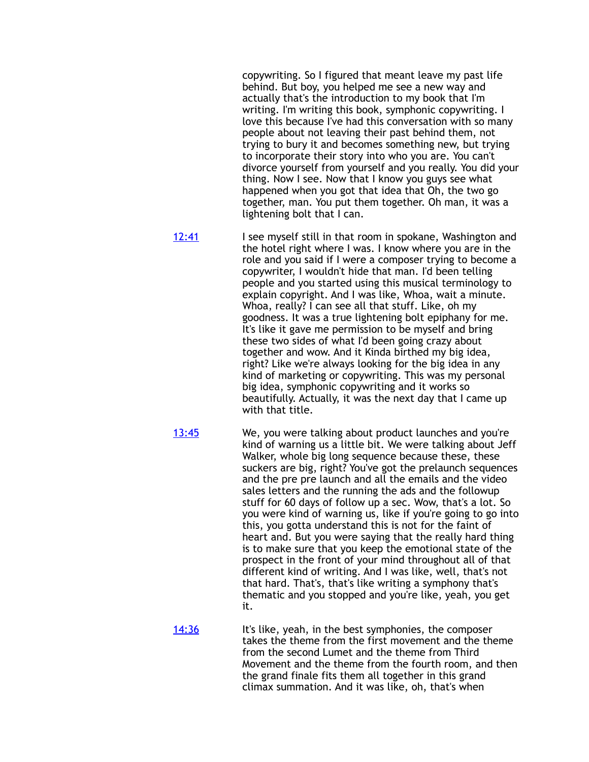copywriting. So I figured that meant leave my past life behind. But boy, you helped me see a new way and actually that's the introduction to my book that I'm writing. I'm writing this book, symphonic copywriting. I love this because I've had this conversation with so many people about not leaving their past behind them, not trying to bury it and becomes something new, but trying to incorporate their story into who you are. You can't divorce yourself from yourself and you really. You did your thing. Now I see. Now that I know you guys see what happened when you got that idea that Oh, the two go together, man. You put them together. Oh man, it was a lightening bolt that I can.

- [12:41](https://www.temi.com/editor/t/cZXhU4tK036_90je4wNtV9IACj1yPr-9OzFDvCCoFI_iBHXnJ9GnJysYLql3UmvBU5tulFY0cqauSYjRFhHgyoUhAYI?loadFrom=DocumentDeeplink&ts=761.89) I see myself still in that room in spokane, Washington and the hotel right where I was. I know where you are in the role and you said if I were a composer trying to become a copywriter, I wouldn't hide that man. I'd been telling people and you started using this musical terminology to explain copyright. And I was like, Whoa, wait a minute. Whoa, really? I can see all that stuff. Like, oh my goodness. It was a true lightening bolt epiphany for me. It's like it gave me permission to be myself and bring these two sides of what I'd been going crazy about together and wow. And it Kinda birthed my big idea, right? Like we're always looking for the big idea in any kind of marketing or copywriting. This was my personal big idea, symphonic copywriting and it works so beautifully. Actually, it was the next day that I came up with that title.
- [13:45](https://www.temi.com/editor/t/cZXhU4tK036_90je4wNtV9IACj1yPr-9OzFDvCCoFI_iBHXnJ9GnJysYLql3UmvBU5tulFY0cqauSYjRFhHgyoUhAYI?loadFrom=DocumentDeeplink&ts=825.7) We, you were talking about product launches and you're kind of warning us a little bit. We were talking about Jeff Walker, whole big long sequence because these, these suckers are big, right? You've got the prelaunch sequences and the pre pre launch and all the emails and the video sales letters and the running the ads and the followup stuff for 60 days of follow up a sec. Wow, that's a lot. So you were kind of warning us, like if you're going to go into this, you gotta understand this is not for the faint of heart and. But you were saying that the really hard thing is to make sure that you keep the emotional state of the prospect in the front of your mind throughout all of that different kind of writing. And I was like, well, that's not that hard. That's, that's like writing a symphony that's thematic and you stopped and you're like, yeah, you get it.

[14:36](https://www.temi.com/editor/t/cZXhU4tK036_90je4wNtV9IACj1yPr-9OzFDvCCoFI_iBHXnJ9GnJysYLql3UmvBU5tulFY0cqauSYjRFhHgyoUhAYI?loadFrom=DocumentDeeplink&ts=876.39) It's like, yeah, in the best symphonies, the composer takes the theme from the first movement and the theme from the second Lumet and the theme from Third Movement and the theme from the fourth room, and then the grand finale fits them all together in this grand climax summation. And it was like, oh, that's when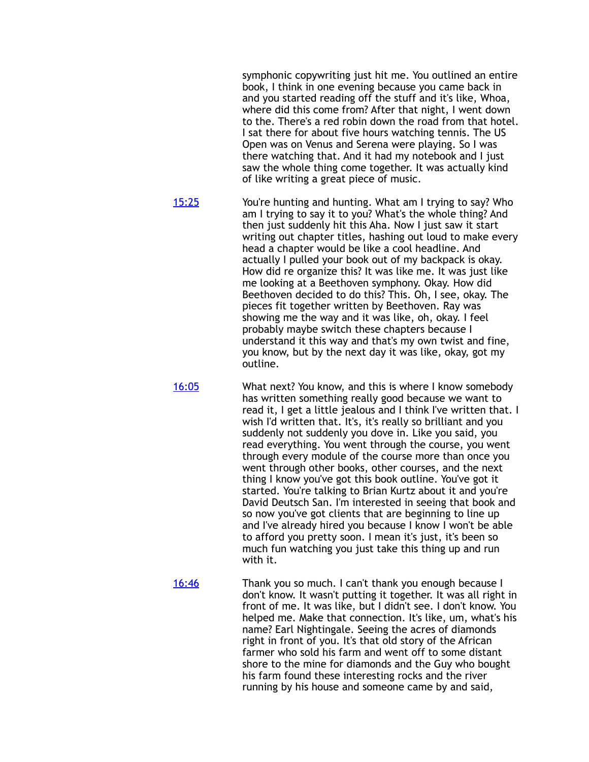symphonic copywriting just hit me. You outlined an entire book, I think in one evening because you came back in and you started reading off the stuff and it's like, Whoa, where did this come from? After that night, I went down to the. There's a red robin down the road from that hotel. I sat there for about five hours watching tennis. The US Open was on Venus and Serena were playing. So I was there watching that. And it had my notebook and I just saw the whole thing come together. It was actually kind of like writing a great piece of music.

[15:25](https://www.temi.com/editor/t/cZXhU4tK036_90je4wNtV9IACj1yPr-9OzFDvCCoFI_iBHXnJ9GnJysYLql3UmvBU5tulFY0cqauSYjRFhHgyoUhAYI?loadFrom=DocumentDeeplink&ts=925.52) You're hunting and hunting. What am I trying to say? Who am I trying to say it to you? What's the whole thing? And then just suddenly hit this Aha. Now I just saw it start writing out chapter titles, hashing out loud to make every head a chapter would be like a cool headline. And actually I pulled your book out of my backpack is okay. How did re organize this? It was like me. It was just like me looking at a Beethoven symphony. Okay. How did Beethoven decided to do this? This. Oh, I see, okay. The pieces fit together written by Beethoven. Ray was showing me the way and it was like, oh, okay. I feel probably maybe switch these chapters because I understand it this way and that's my own twist and fine, you know, but by the next day it was like, okay, got my outline.

[16:05](https://www.temi.com/editor/t/cZXhU4tK036_90je4wNtV9IACj1yPr-9OzFDvCCoFI_iBHXnJ9GnJysYLql3UmvBU5tulFY0cqauSYjRFhHgyoUhAYI?loadFrom=DocumentDeeplink&ts=965.33) What next? You know, and this is where I know somebody has written something really good because we want to read it, I get a little jealous and I think I've written that. I wish I'd written that. It's, it's really so brilliant and you suddenly not suddenly you dove in. Like you said, you read everything. You went through the course, you went through every module of the course more than once you went through other books, other courses, and the next thing I know you've got this book outline. You've got it started. You're talking to Brian Kurtz about it and you're David Deutsch San. I'm interested in seeing that book and so now you've got clients that are beginning to line up and I've already hired you because I know I won't be able to afford you pretty soon. I mean it's just, it's been so much fun watching you just take this thing up and run with it.

[16:46](https://www.temi.com/editor/t/cZXhU4tK036_90je4wNtV9IACj1yPr-9OzFDvCCoFI_iBHXnJ9GnJysYLql3UmvBU5tulFY0cqauSYjRFhHgyoUhAYI?loadFrom=DocumentDeeplink&ts=1006.4) Thank you so much. I can't thank you enough because I don't know. It wasn't putting it together. It was all right in front of me. It was like, but I didn't see. I don't know. You helped me. Make that connection. It's like, um, what's his name? Earl Nightingale. Seeing the acres of diamonds right in front of you. It's that old story of the African farmer who sold his farm and went off to some distant shore to the mine for diamonds and the Guy who bought his farm found these interesting rocks and the river running by his house and someone came by and said,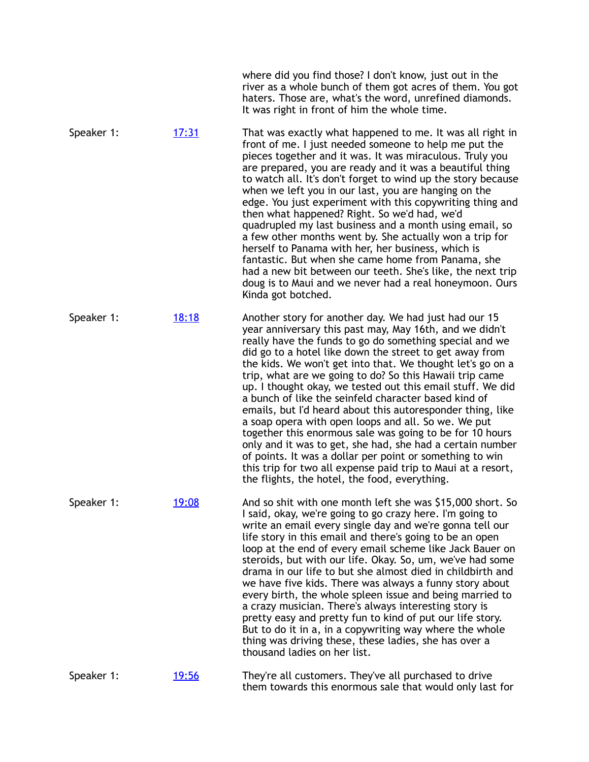|            |              | where did you find those? I don't know, just out in the<br>river as a whole bunch of them got acres of them. You got<br>haters. Those are, what's the word, unrefined diamonds.<br>It was right in front of him the whole time.                                                                                                                                                                                                                                                                                                                                                                                                                                                                                                                                                                                                                                                                                  |
|------------|--------------|------------------------------------------------------------------------------------------------------------------------------------------------------------------------------------------------------------------------------------------------------------------------------------------------------------------------------------------------------------------------------------------------------------------------------------------------------------------------------------------------------------------------------------------------------------------------------------------------------------------------------------------------------------------------------------------------------------------------------------------------------------------------------------------------------------------------------------------------------------------------------------------------------------------|
| Speaker 1: | <u>17:31</u> | That was exactly what happened to me. It was all right in<br>front of me. I just needed someone to help me put the<br>pieces together and it was. It was miraculous. Truly you<br>are prepared, you are ready and it was a beautiful thing<br>to watch all. It's don't forget to wind up the story because<br>when we left you in our last, you are hanging on the<br>edge. You just experiment with this copywriting thing and<br>then what happened? Right. So we'd had, we'd<br>quadrupled my last business and a month using email, so<br>a few other months went by. She actually won a trip for<br>herself to Panama with her, her business, which is<br>fantastic. But when she came home from Panama, she<br>had a new bit between our teeth. She's like, the next trip<br>doug is to Maui and we never had a real honeymoon. Ours<br>Kinda got botched.                                                 |
| Speaker 1: | <u>18:18</u> | Another story for another day. We had just had our 15<br>year anniversary this past may, May 16th, and we didn't<br>really have the funds to go do something special and we<br>did go to a hotel like down the street to get away from<br>the kids. We won't get into that. We thought let's go on a<br>trip, what are we going to do? So this Hawaii trip came<br>up. I thought okay, we tested out this email stuff. We did<br>a bunch of like the seinfeld character based kind of<br>emails, but I'd heard about this autoresponder thing, like<br>a soap opera with open loops and all. So we. We put<br>together this enormous sale was going to be for 10 hours<br>only and it was to get, she had, she had a certain number<br>of points. It was a dollar per point or something to win<br>this trip for two all expense paid trip to Maui at a resort,<br>the flights, the hotel, the food, everything. |
| Speaker 1: | <u>19:08</u> | And so shit with one month left she was \$15,000 short. So<br>I said, okay, we're going to go crazy here. I'm going to<br>write an email every single day and we're gonna tell our<br>life story in this email and there's going to be an open<br>loop at the end of every email scheme like Jack Bauer on<br>steroids, but with our life. Okay. So, um, we've had some<br>drama in our life to but she almost died in childbirth and<br>we have five kids. There was always a funny story about<br>every birth, the whole spleen issue and being married to<br>a crazy musician. There's always interesting story is<br>pretty easy and pretty fun to kind of put our life story.<br>But to do it in a, in a copywriting way where the whole<br>thing was driving these, these ladies, she has over a<br>thousand ladies on her list.                                                                           |
| Speaker 1: | <u>19:56</u> | They're all customers. They've all purchased to drive<br>them towards this enormous sale that would only last for                                                                                                                                                                                                                                                                                                                                                                                                                                                                                                                                                                                                                                                                                                                                                                                                |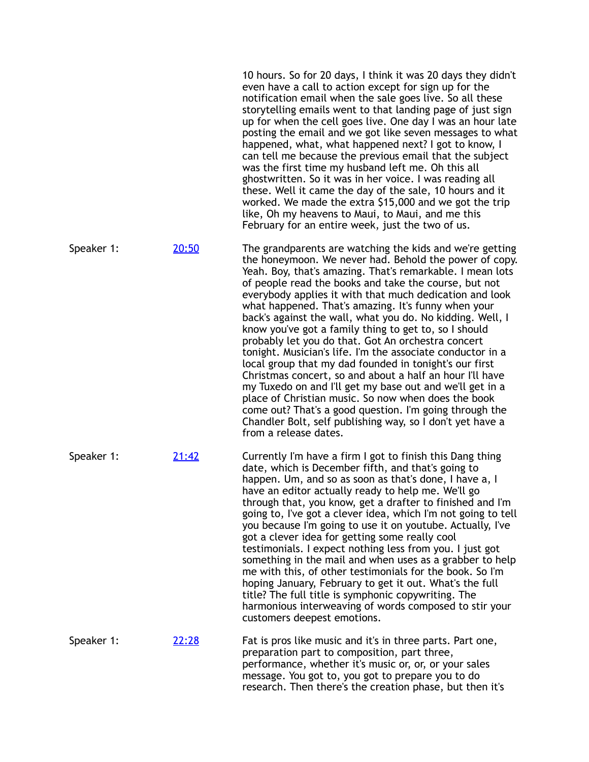|            |       | 10 hours. So for 20 days, I think it was 20 days they didn't<br>even have a call to action except for sign up for the<br>notification email when the sale goes live. So all these<br>storytelling emails went to that landing page of just sign<br>up for when the cell goes live. One day I was an hour late<br>posting the email and we got like seven messages to what<br>happened, what, what happened next? I got to know, I<br>can tell me because the previous email that the subject<br>was the first time my husband left me. Oh this all<br>ghostwritten. So it was in her voice. I was reading all<br>these. Well it came the day of the sale, 10 hours and it<br>worked. We made the extra \$15,000 and we got the trip<br>like, Oh my heavens to Maui, to Maui, and me this<br>February for an entire week, just the two of us.                                                                                                                                                   |
|------------|-------|------------------------------------------------------------------------------------------------------------------------------------------------------------------------------------------------------------------------------------------------------------------------------------------------------------------------------------------------------------------------------------------------------------------------------------------------------------------------------------------------------------------------------------------------------------------------------------------------------------------------------------------------------------------------------------------------------------------------------------------------------------------------------------------------------------------------------------------------------------------------------------------------------------------------------------------------------------------------------------------------|
| Speaker 1: | 20:50 | The grandparents are watching the kids and we're getting<br>the honeymoon. We never had. Behold the power of copy.<br>Yeah. Boy, that's amazing. That's remarkable. I mean lots<br>of people read the books and take the course, but not<br>everybody applies it with that much dedication and look<br>what happened. That's amazing. It's funny when your<br>back's against the wall, what you do. No kidding. Well, I<br>know you've got a family thing to get to, so I should<br>probably let you do that. Got An orchestra concert<br>tonight. Musician's life. I'm the associate conductor in a<br>local group that my dad founded in tonight's our first<br>Christmas concert, so and about a half an hour I'll have<br>my Tuxedo on and I'll get my base out and we'll get in a<br>place of Christian music. So now when does the book<br>come out? That's a good question. I'm going through the<br>Chandler Bolt, self publishing way, so I don't yet have a<br>from a release dates. |
| Speaker 1: | 21:42 | Currently I'm have a firm I got to finish this Dang thing<br>date, which is December fifth, and that's going to<br>happen. Um, and so as soon as that's done, I have a, I<br>have an editor actually ready to help me. We'll go<br>through that, you know, get a drafter to finished and I'm<br>going to, I've got a clever idea, which I'm not going to tell<br>you because I'm going to use it on youtube. Actually, I've<br>got a clever idea for getting some really cool<br>testimonials. I expect nothing less from you. I just got<br>something in the mail and when uses as a grabber to help<br>me with this, of other testimonials for the book. So I'm<br>hoping January, February to get it out. What's the full<br>title? The full title is symphonic copywriting. The<br>harmonious interweaving of words composed to stir your<br>customers deepest emotions.                                                                                                                   |
| Speaker 1: | 22:28 | Fat is pros like music and it's in three parts. Part one,<br>preparation part to composition, part three,<br>performance, whether it's music or, or, or your sales<br>message. You got to, you got to prepare you to do<br>research. Then there's the creation phase, but then it's                                                                                                                                                                                                                                                                                                                                                                                                                                                                                                                                                                                                                                                                                                            |